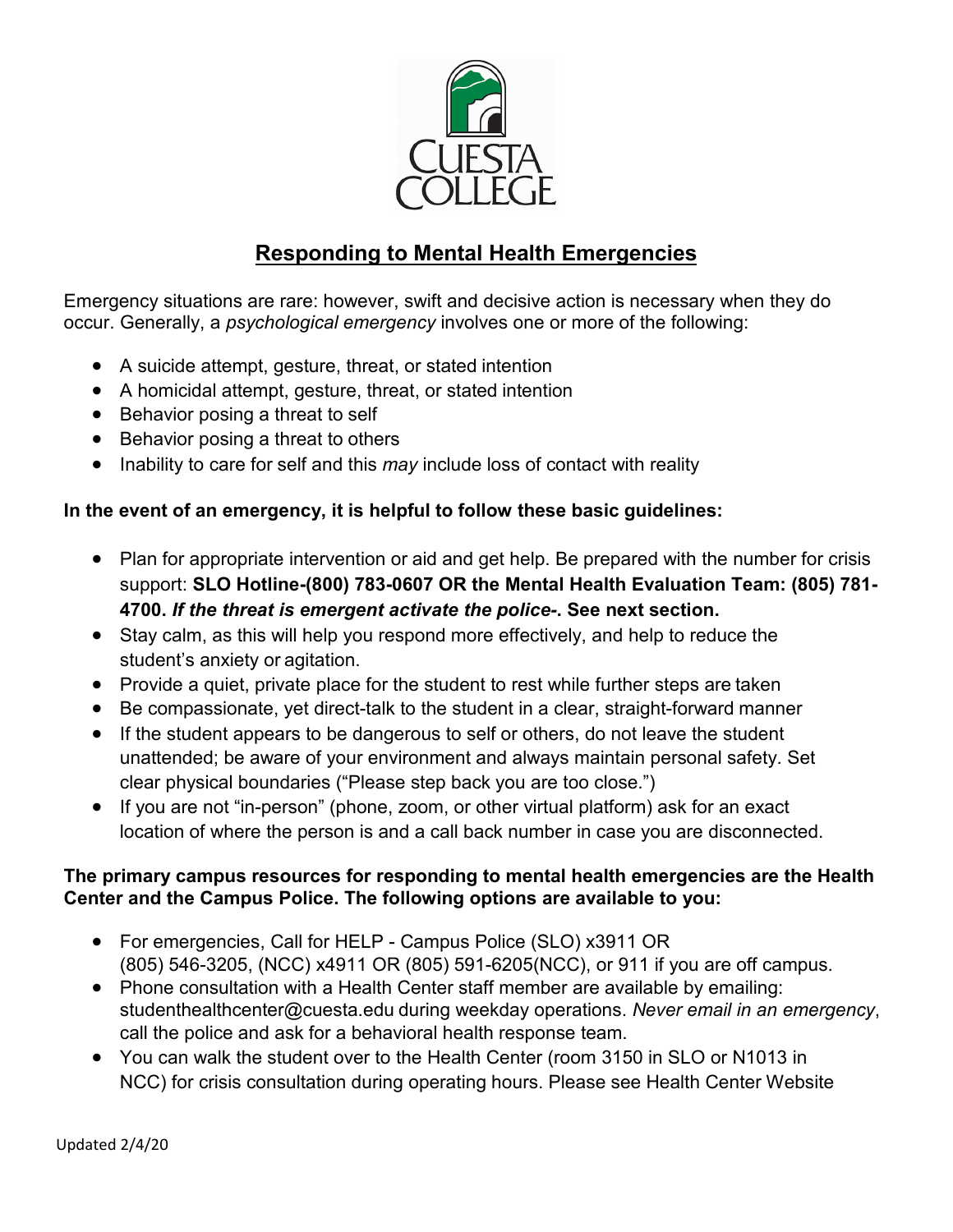

## **Responding to Mental Health Emergencies**

Emergency situations are rare: however, swift and decisive action is necessary when they do occur. Generally, a *psychological emergency* involves one or more of the following:

- A suicide attempt, gesture, threat, or stated intention
- A homicidal attempt, gesture, threat, or stated intention
- Behavior posing a threat to self
- Behavior posing a threat to others
- Inability to care for self and this *may* include loss of contact with reality

### **In the event of an emergency, it is helpful to follow these basic guidelines:**

- Plan for appropriate intervention or aid and get help. Be prepared with the number for crisis support: **SLO Hotline-(800) 783-0607 OR the Mental Health Evaluation Team: (805) 781- 4700.** *If the threat is emergent activate the police-***. See next section.**
- Stay calm, as this will help you respond more effectively, and help to reduce the student's anxiety or agitation.
- Provide a quiet, private place for the student to rest while further steps are taken
- Be compassionate, yet direct-talk to the student in a clear, straight-forward manner
- If the student appears to be dangerous to self or others, do not leave the student unattended; be aware of your environment and always maintain personal safety. Set clear physical boundaries ("Please step back you are too close.")
- If you are not "in-person" (phone, zoom, or other virtual platform) ask for an exact location of where the person is and a call back number in case you are disconnected.

#### **The primary campus resources for responding to mental health emergencies are the Health Center and the Campus Police. The following options are available to you:**

- For emergencies, Call for HELP Campus Police (SLO) x3911 OR (805) 546-3205, (NCC) x4911 OR (805) 591-6205(NCC), or 911 if you are off campus.
- Phone consultation with a Health Center staff member are available by emailing: studenthealthcenter@cuesta.edu during weekday operations. *Never email in an emergency*, call the police and ask for a behavioral health response team.
- You can walk the student over to the Health Center (room 3150 in SLO or N1013 in NCC) for crisis consultation during operating hours. Please see Health Center Website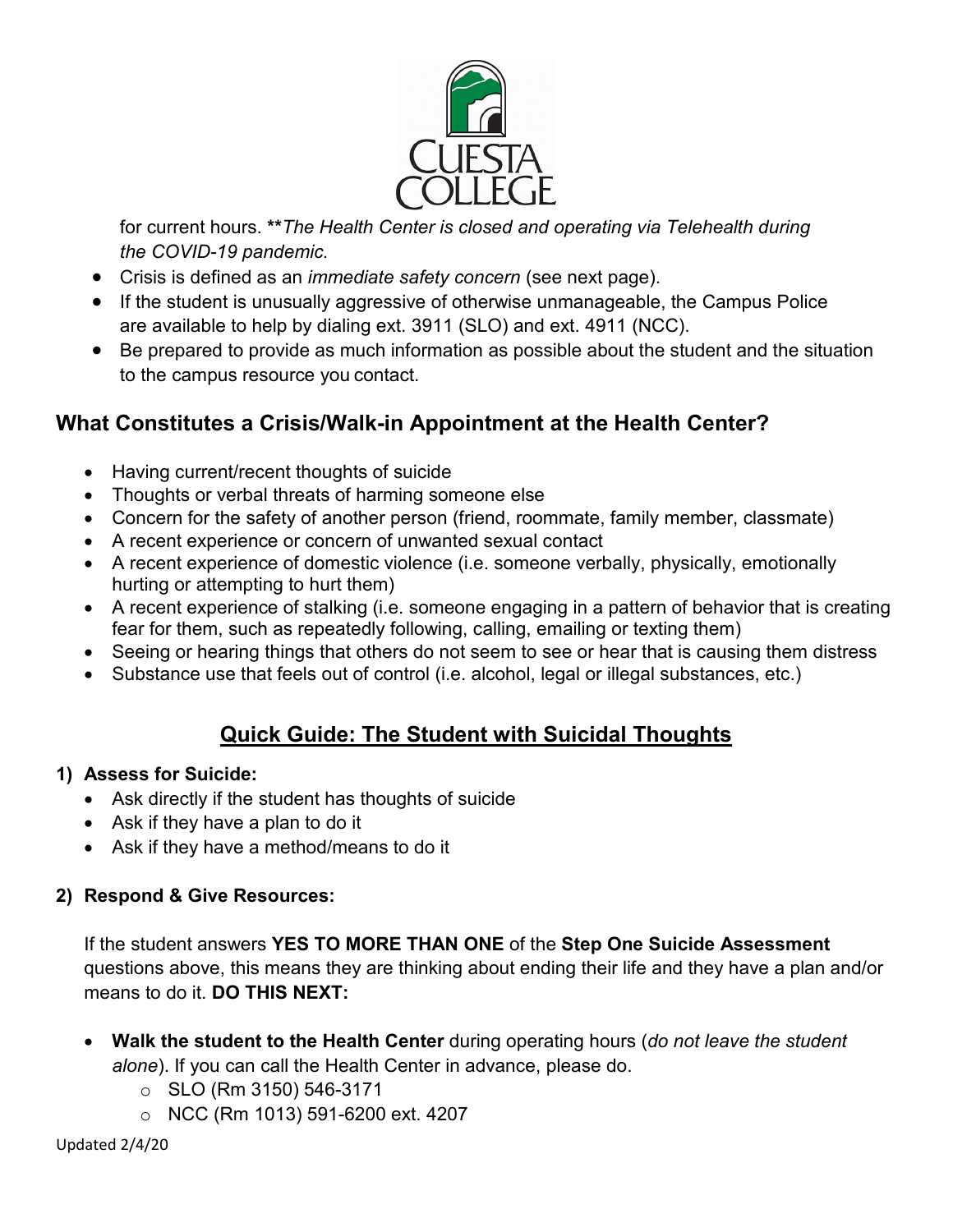

for current hours. **\*\****The Health Center is closed and operating via Telehealth during the COVID-19 pandemic.*

- Crisis is defined as an *immediate safety concern* (see next page).
- If the student is unusually aggressive of otherwise unmanageable, the Campus Police are available to help by dialing ext. 3911 (SLO) and ext. 4911 (NCC).
- Be prepared to provide as much information as possible about the student and the situation to the campus resource you contact.

# **What Constitutes a Crisis/Walk-in Appointment at the Health Center?**

- Having current/recent thoughts of suicide
- Thoughts or verbal threats of harming someone else
- Concern for the safety of another person (friend, roommate, family member, classmate)
- A recent experience or concern of unwanted sexual contact
- A recent experience of domestic violence (i.e. someone verbally, physically, emotionally hurting or attempting to hurt them)
- A recent experience of stalking (i.e. someone engaging in a pattern of behavior that is creating fear for them, such as repeatedly following, calling, emailing or texting them)
- Seeing or hearing things that others do not seem to see or hear that is causing them distress
- Substance use that feels out of control (i.e. alcohol, legal or illegal substances, etc.)

# **Quick Guide: The Student with Suicidal Thoughts**

## **1) Assess for Suicide:**

- Ask directly if the student has thoughts of suicide
- Ask if they have a plan to do it
- Ask if they have a method/means to do it

## **2) Respond & Give Resources:**

If the student answers **YES TO MORE THAN ONE** of the **Step One Suicide Assessment** questions above, this means they are thinking about ending their life and they have a plan and/or means to do it. **DO THIS NEXT:**

- **Walk the student to the Health Center** during operating hours (*do not leave the student alone*). If you can call the Health Center in advance, please do.
	- $\circ$  SLO (Rm 3150) 546-3171
	- o NCC (Rm 1013) 591-6200 ext. 4207